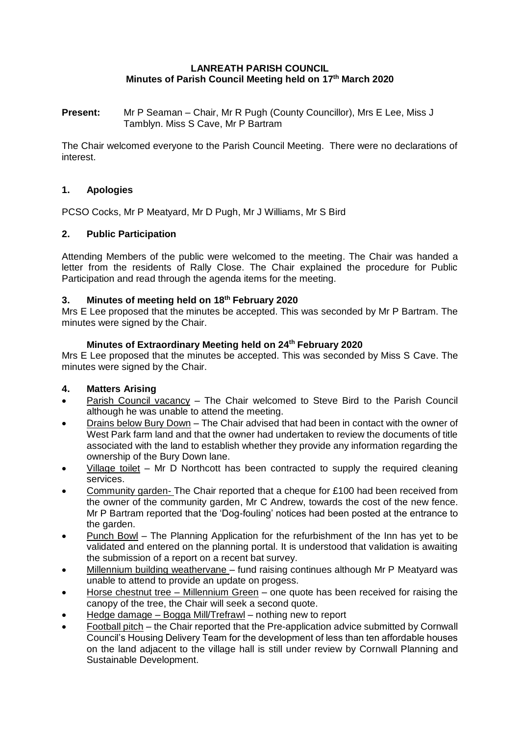### **LANREATH PARISH COUNCIL Minutes of Parish Council Meeting held on 17th March 2020**

**Present:** Mr P Seaman – Chair, Mr R Pugh (County Councillor), Mrs E Lee, Miss J Tamblyn. Miss S Cave, Mr P Bartram

The Chair welcomed everyone to the Parish Council Meeting. There were no declarations of interest.

# **1. Apologies**

PCSO Cocks, Mr P Meatyard, Mr D Pugh, Mr J Williams, Mr S Bird

#### **2. Public Participation**

Attending Members of the public were welcomed to the meeting. The Chair was handed a letter from the residents of Rally Close. The Chair explained the procedure for Public Participation and read through the agenda items for the meeting.

#### **3. Minutes of meeting held on 18th February 2020**

Mrs E Lee proposed that the minutes be accepted. This was seconded by Mr P Bartram. The minutes were signed by the Chair.

#### **Minutes of Extraordinary Meeting held on 24th February 2020**

Mrs E Lee proposed that the minutes be accepted. This was seconded by Miss S Cave. The minutes were signed by the Chair.

#### **4. Matters Arising**

- Parish Council vacancy The Chair welcomed to Steve Bird to the Parish Council although he was unable to attend the meeting.
- Drains below Bury Down The Chair advised that had been in contact with the owner of West Park farm land and that the owner had undertaken to review the documents of title associated with the land to establish whether they provide any information regarding the ownership of the Bury Down lane.
- Village toilet Mr D Northcott has been contracted to supply the required cleaning services.
- Community garden- The Chair reported that a cheque for £100 had been received from the owner of the community garden, Mr C Andrew, towards the cost of the new fence. Mr P Bartram reported that the 'Dog-fouling' notices had been posted at the entrance to the garden.
- Punch Bowl The Planning Application for the refurbishment of the Inn has yet to be validated and entered on the planning portal. It is understood that validation is awaiting the submission of a report on a recent bat survey.
- Millennium building weathervane fund raising continues although Mr P Meatyard was unable to attend to provide an update on progess.
- Horse chestnut tree Millennium Green one quote has been received for raising the canopy of the tree, the Chair will seek a second quote.
- Hedge damage Bogga Mill/Trefrawl nothing new to report
- Football pitch the Chair reported that the Pre-application advice submitted by Cornwall Council's Housing Delivery Team for the development of less than ten affordable houses on the land adjacent to the village hall is still under review by Cornwall Planning and Sustainable Development.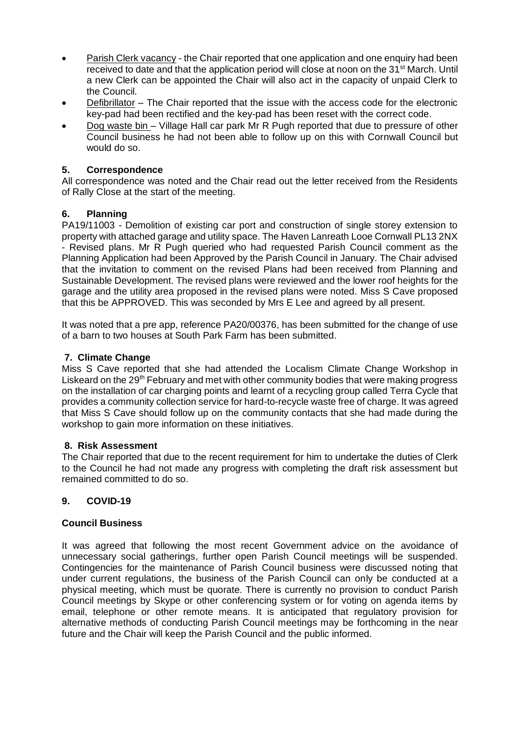- Parish Clerk vacancy the Chair reported that one application and one enquiry had been received to date and that the application period will close at noon on the 31<sup>st</sup> March. Until a new Clerk can be appointed the Chair will also act in the capacity of unpaid Clerk to the Council.
- Defibrillator The Chair reported that the issue with the access code for the electronic key-pad had been rectified and the key-pad has been reset with the correct code.
- Dog waste bin Village Hall car park Mr R Pugh reported that due to pressure of other Council business he had not been able to follow up on this with Cornwall Council but would do so.

# **5. Correspondence**

All correspondence was noted and the Chair read out the letter received from the Residents of Rally Close at the start of the meeting.

# **6. Planning**

PA19/11003 - Demolition of existing car port and construction of single storey extension to property with attached garage and utility space. The Haven Lanreath Looe Cornwall PL13 2NX - Revised plans. Mr R Pugh queried who had requested Parish Council comment as the Planning Application had been Approved by the Parish Council in January. The Chair advised that the invitation to comment on the revised Plans had been received from Planning and Sustainable Development. The revised plans were reviewed and the lower roof heights for the garage and the utility area proposed in the revised plans were noted. Miss S Cave proposed that this be APPROVED. This was seconded by Mrs E Lee and agreed by all present.

It was noted that a pre app, reference PA20/00376, has been submitted for the change of use of a barn to two houses at South Park Farm has been submitted.

# **7. Climate Change**

Miss S Cave reported that she had attended the Localism Climate Change Workshop in Liskeard on the 29<sup>th</sup> February and met with other community bodies that were making progress on the installation of car charging points and learnt of a recycling group called Terra Cycle that provides a community collection service for hard-to-recycle waste free of charge. It was agreed that Miss S Cave should follow up on the community contacts that she had made during the workshop to gain more information on these initiatives.

#### **8. Risk Assessment**

The Chair reported that due to the recent requirement for him to undertake the duties of Clerk to the Council he had not made any progress with completing the draft risk assessment but remained committed to do so.

# **9. COVID-19**

#### **Council Business**

It was agreed that following the most recent Government advice on the avoidance of unnecessary social gatherings, further open Parish Council meetings will be suspended. Contingencies for the maintenance of Parish Council business were discussed noting that under current regulations, the business of the Parish Council can only be conducted at a physical meeting, which must be quorate. There is currently no provision to conduct Parish Council meetings by Skype or other conferencing system or for voting on agenda items by email, telephone or other remote means. It is anticipated that regulatory provision for alternative methods of conducting Parish Council meetings may be forthcoming in the near future and the Chair will keep the Parish Council and the public informed.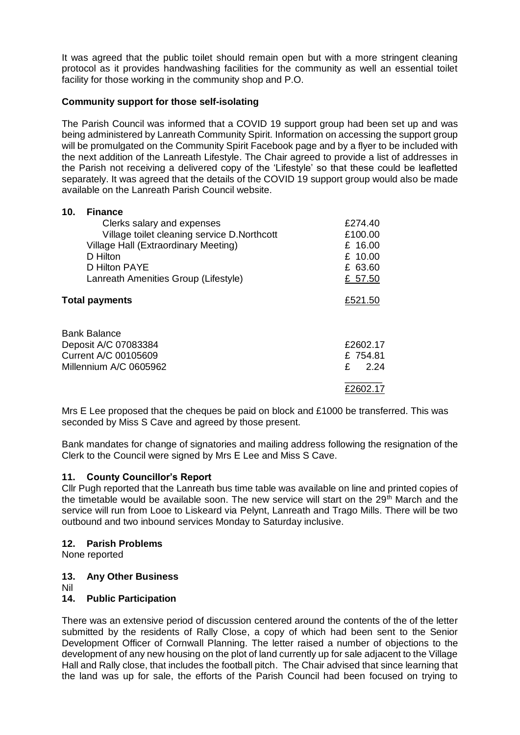It was agreed that the public toilet should remain open but with a more stringent cleaning protocol as it provides handwashing facilities for the community as well an essential toilet facility for those working in the community shop and P.O.

### **Community support for those self-isolating**

The Parish Council was informed that a COVID 19 support group had been set up and was being administered by Lanreath Community Spirit. Information on accessing the support group will be promulgated on the Community Spirit Facebook page and by a flyer to be included with the next addition of the Lanreath Lifestyle. The Chair agreed to provide a list of addresses in the Parish not receiving a delivered copy of the 'Lifestyle' so that these could be leafletted separately. It was agreed that the details of the COVID 19 support group would also be made available on the Lanreath Parish Council website.

| 10.<br><b>Finance</b>                       |           |  |
|---------------------------------------------|-----------|--|
| Clerks salary and expenses                  | £274.40   |  |
| Village toilet cleaning service D.Northcott | £100.00   |  |
| Village Hall (Extraordinary Meeting)        | £ 16.00   |  |
| D Hilton                                    | £ $10.00$ |  |
| D Hilton PAYE                               | £ 63.60   |  |
| Lanreath Amenities Group (Lifestyle)        | £ 57.50   |  |
| <b>Total payments</b>                       | £521.50   |  |
| Bank Balance                                |           |  |
| Deposit A/C 07083384                        | £2602.17  |  |
| Current A/C 00105609                        | £754.81   |  |
| Millennium A/C 0605962                      | £<br>2.24 |  |
|                                             | £2602.17  |  |

Mrs E Lee proposed that the cheques be paid on block and  $£1000$  be transferred. This was seconded by Miss S Cave and agreed by those present.

Bank mandates for change of signatories and mailing address following the resignation of the Clerk to the Council were signed by Mrs E Lee and Miss S Cave.

#### **11. County Councillor's Report**

Cllr Pugh reported that the Lanreath bus time table was available on line and printed copies of the timetable would be available soon. The new service will start on the  $29<sup>th</sup>$  March and the service will run from Looe to Liskeard via Pelynt, Lanreath and Trago Mills. There will be two outbound and two inbound services Monday to Saturday inclusive.

#### **12. Parish Problems**

None reported

#### **13. Any Other Business**

Nil

#### **14. Public Participation**

There was an extensive period of discussion centered around the contents of the of the letter submitted by the residents of Rally Close, a copy of which had been sent to the Senior Development Officer of Cornwall Planning. The letter raised a number of objections to the development of any new housing on the plot of land currently up for sale adjacent to the Village Hall and Rally close, that includes the football pitch. The Chair advised that since learning that the land was up for sale, the efforts of the Parish Council had been focused on trying to